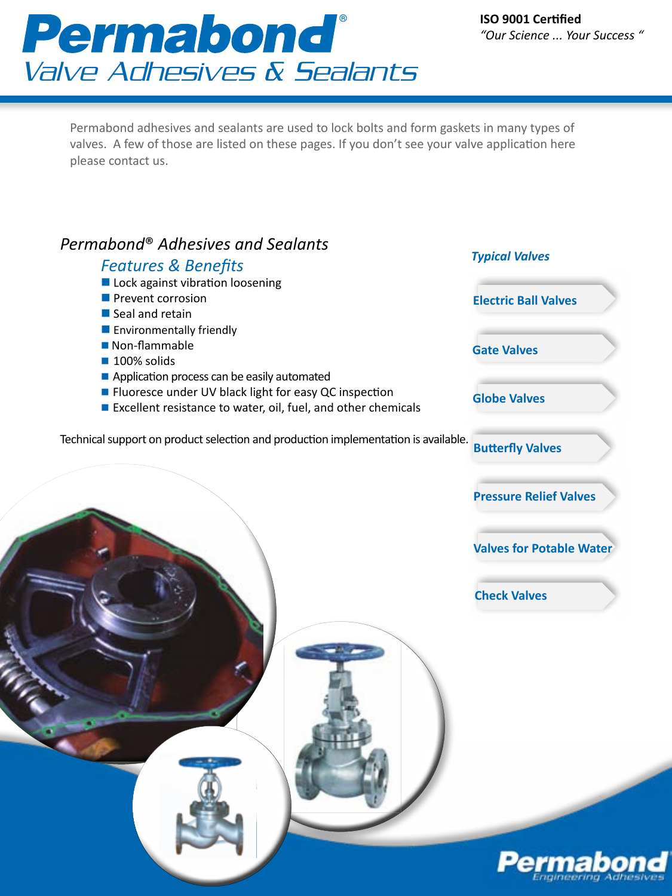# Permabond® Valve Adhesives & Sealants

Permabond adhesives and sealants are used to lock bolts and form gaskets in many types of valves. A few of those are listed on these pages. If you don't see your valve application here please contact us.

### *Permabond*® *Adhesives and Sealants*

#### **Electric Ball Valves Gate Valves Globe Valves Valves for Potable Water Check Valves Butterfly Valves Pressure Relief Valves**  *Features & Benefits*  $\blacksquare$  Lock against vibration loosening  $\blacksquare$  Prevent corrosion  $\blacksquare$  Seal and retain  $\blacksquare$  Environmentally friendly  $\blacksquare$  Non-flammable  $\blacksquare$  100% solids Application process can be easily automated ■ Fluoresce under UV black light for easy QC inspection ■ Excellent resistance to water, oil, fuel, and other chemicals Technical support on product selection and production implementation is available. *Typical Valves*